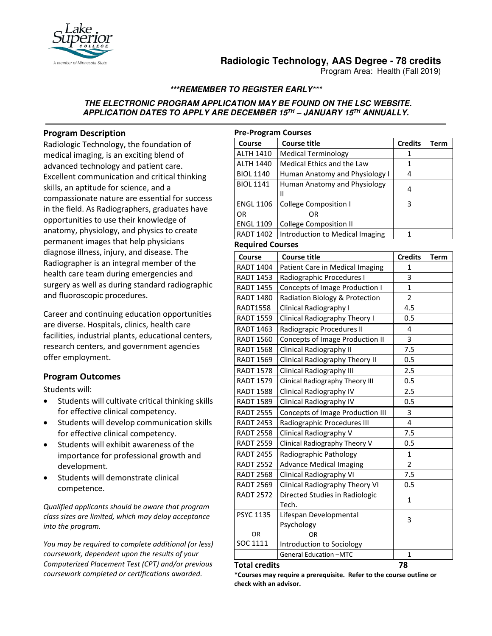

# **Radiologic Technology, AAS Degree - 78 credits**

Program Area: Health (Fall 2019)

## **\*\*\*REMEMBER TO REGISTER EARLY\*\*\***

#### **THE ELECTRONIC PROGRAM APPLICATION MAY BE FOUND ON THE LSC WEBSITE. APPLICATION DATES TO APPLY ARE DECEMBER 15TH – JANUARY 15TH ANNUALLY.**

## **Program Description**

Radiologic Technology, the foundation of medical imaging, is an exciting blend of advanced technology and patient care. Excellent communication and critical thinking skills, an aptitude for science, and a compassionate nature are essential for success in the field. As Radiographers, graduates have opportunities to use their knowledge of anatomy, physiology, and physics to create permanent images that help physicians diagnose illness, injury, and disease. The Radiographer is an integral member of the health care team during emergencies and surgery as well as during standard radiographic and fluoroscopic procedures.

Career and continuing education opportunities are diverse. Hospitals, clinics, health care facilities, industrial plants, educational centers, research centers, and government agencies offer employment.

## **Program Outcomes**

Students will:

- Students will cultivate critical thinking skills for effective clinical competency.
- Students will develop communication skills for effective clinical competency.
- Students will exhibit awareness of the importance for professional growth and development.
- Students will demonstrate clinical competence.

*Qualified applicants should be aware that program class sizes are limited, which may delay acceptance into the program.* 

*You may be required to complete additional (or less) coursework, dependent upon the results of your Computerized Placement Test (CPT) and/or previous coursework completed or certifications awarded.*

| <b>Pre-Program Courses</b> |                                 |                |      |  |  |
|----------------------------|---------------------------------|----------------|------|--|--|
| Course                     | <b>Course title</b>             | <b>Credits</b> | Term |  |  |
| <b>ALTH 1410</b>           | <b>Medical Terminology</b>      | 1              |      |  |  |
| <b>ALTH 1440</b>           | Medical Ethics and the Law      | 1              |      |  |  |
| <b>BIOL 1140</b>           | Human Anatomy and Physiology I  | 4              |      |  |  |
| <b>BIOL 1141</b>           | Human Anatomy and Physiology    | 4              |      |  |  |
|                            | н                               |                |      |  |  |
| <b>ENGL 1106</b>           | <b>College Composition I</b>    | 3              |      |  |  |
| OR                         | OR                              |                |      |  |  |
| <b>ENGL 1109</b>           | College Composition II          |                |      |  |  |
| <b>RADT 1402</b>           | Introduction to Medical Imaging |                |      |  |  |

#### **Required Courses**

| Course           | <b>Course title</b>                     | <b>Credits</b> | <b>Term</b> |
|------------------|-----------------------------------------|----------------|-------------|
| <b>RADT 1404</b> | Patient Care in Medical Imaging         | 1              |             |
| <b>RADT 1453</b> | Radiographic Procedures I               | 3              |             |
| <b>RADT 1455</b> | Concepts of Image Production I          | $\mathbf{1}$   |             |
| <b>RADT 1480</b> | Radiation Biology & Protection          | $\overline{2}$ |             |
| <b>RADT1558</b>  | Clinical Radiography I                  | 4.5            |             |
| <b>RADT 1559</b> | Clinical Radiography Theory I           | 0.5            |             |
| <b>RADT 1463</b> | Radiograpic Procedures II               | 4              |             |
| <b>RADT 1560</b> | <b>Concepts of Image Production II</b>  | 3              |             |
| <b>RADT 1568</b> | Clinical Radiography II                 | 7.5            |             |
| <b>RADT 1569</b> | Clinical Radiography Theory II          | 0.5            |             |
| <b>RADT 1578</b> | <b>Clinical Radiography III</b>         | 2.5            |             |
| <b>RADT 1579</b> | Clinical Radiography Theory III         | 0.5            |             |
| <b>RADT 1588</b> | Clinical Radiography IV                 | 2.5            |             |
| <b>RADT 1589</b> | Clinical Radiography IV                 | 0.5            |             |
| <b>RADT 2555</b> | <b>Concepts of Image Production III</b> | 3              |             |
| <b>RADT 2453</b> | Radiographic Procedures III             | 4              |             |
| <b>RADT 2558</b> | Clinical Radiography V                  | 7.5            |             |
| <b>RADT 2559</b> | Clinical Radiography Theory V           | 0.5            |             |
| <b>RADT 2455</b> | Radiographic Pathology                  | $\mathbf{1}$   |             |
| <b>RADT 2552</b> | <b>Advance Medical Imaging</b>          | $\overline{c}$ |             |
| <b>RADT 2568</b> | Clinical Radiography VI                 | 7.5            |             |
| <b>RADT 2569</b> | Clinical Radiography Theory VI          | 0.5            |             |
| <b>RADT 2572</b> | Directed Studies in Radiologic          | 1              |             |
|                  | Tech.                                   |                |             |
| <b>PSYC 1135</b> | Lifespan Developmental                  | 3              |             |
|                  | Psychology                              |                |             |
| <b>OR</b>        | OR                                      |                |             |
| SOC 1111         | Introduction to Sociology               |                |             |
|                  | <b>General Education -MTC</b>           | $\mathbf{1}$   |             |

#### **Total credits 78**

**\*Courses may require a prerequisite. Refer to the course outline or check with an advisor.**